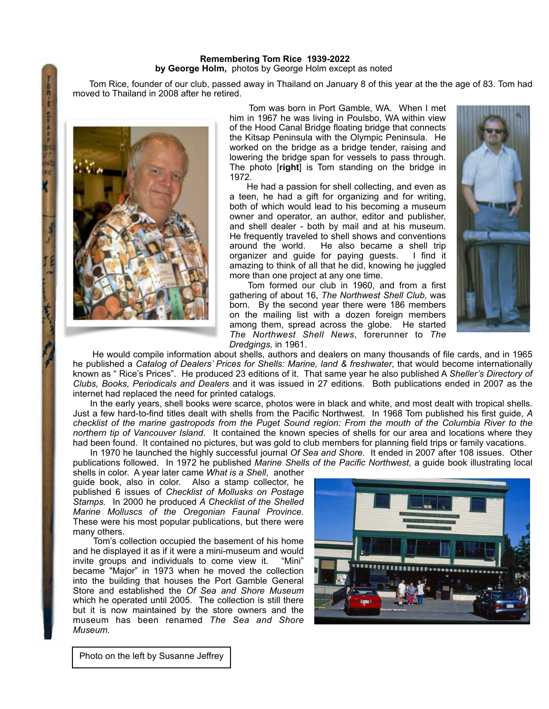## **Remembering Tom Rice 1939-2022 by George Holm,** photos by George Holm except as noted

 Tom Rice, founder of our club, passed away in Thailand on January 8 of this year at the the age of 83. Tom had moved to Thailand in 2008 after he retired.



月白

 Tom was born in Port Gamble, WA. When I met him in 1967 he was living in Poulsbo, WA within view of the Hood Canal Bridge floating bridge that connects the Kitsap Peninsula with the Olympic Peninsula. He worked on the bridge as a bridge tender, raising and lowering the bridge span for vessels to pass through. The photo [**right**] is Tom standing on the bridge in 1972.

 He had a passion for shell collecting, and even as a teen, he had a gift for organizing and for writing, both of which would lead to his becoming a museum owner and operator, an author, editor and publisher, and shell dealer - both by mail and at his museum. He frequently traveled to shell shows and conventions around the world. He also became a shell trip organizer and guide for paying guests. I find it amazing to think of all that he did, knowing he juggled more than one project at any one time.

 Tom formed our club in 1960, and from a first gathering of about 16, *The Northwest Shell Club,* was born. By the second year there were 186 members on the mailing list with a dozen foreign members among them, spread across the globe. He started *The Northwest Shell News*, forerunner to *The Dredgings,* in 1961.



 He would compile information about shells, authors and dealers on many thousands of file cards, and in 1965 he published a *Catalog of Dealers' Prices for Shells: Marine, land & freshwater*, that would become internationally known as " Rice's Prices". He produced 23 editions of it. That same year he also published A *Sheller's Directory of Clubs, Books*, *Periodicals and Dealers* and it was issued in 27 editions. Both publications ended in 2007 as the internet had replaced the need for printed catalogs.

 In the early years, shell books were scarce, photos were in black and white, and most dealt with tropical shells. Just a few hard-to-find titles dealt with shells from the Pacific Northwest. In 1968 Tom published his first guide, *A checklist of the marine gastropods from the Puget Sound region: From the mouth of the Columbia River to the northern tip of Vancouver Island*. It contained the known species of shells for our area and locations where they had been found. It contained no pictures, but was gold to club members for planning field trips or family vacations.

 In 1970 he launched the highly successful journal *Of Sea and Shore.* It ended in 2007 after 108 issues. Other publications followed. In 1972 he published *Marine Shells of the Pacific Northwest*, a guide book illustrating local

shells in color. A year later came *What is a Shell*, another guide book, also in color. Also a stamp collector, he published 6 issues of *Checklist of Mollusks on Postage Stamps.* In 2000 he produced *A Checklist of the Shelled Marine Molluscs of the Oregonian Faunal Province.*  These were his most popular publications, but there were many others.

 Tom's collection occupied the basement of his home and he displayed it as if it were a mini-museum and would invite groups and individuals to come view it. "Mini" became "Major" in 1973 when he moved the collection into the building that houses the Port Gamble General Store and established the *Of Sea and Shore Museum* which he operated until 2005. The collection is still there but it is now maintained by the store owners and the museum has been renamed *The Sea and Shore Museum*.



Photo on the left by Susanne Jeffrey